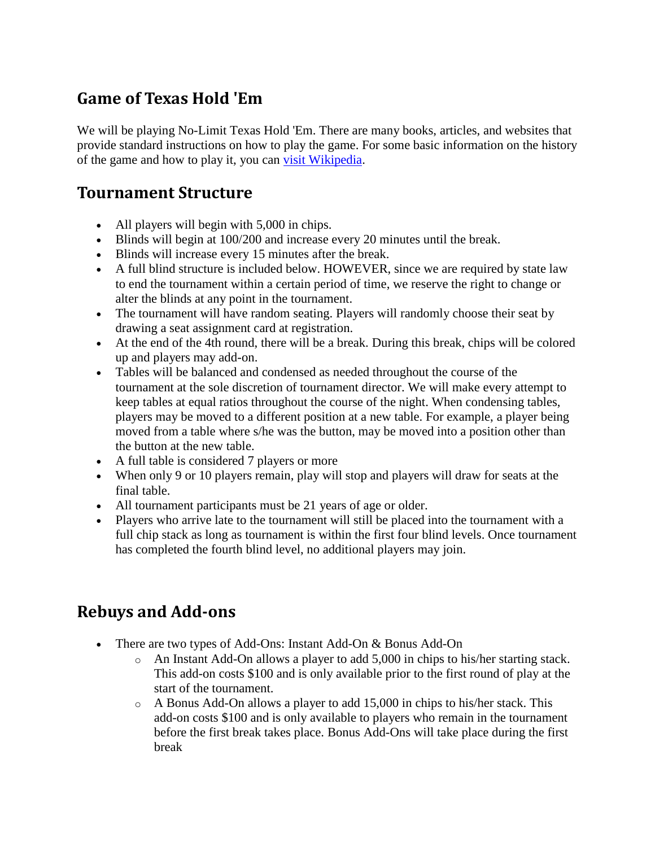## **Game of Texas Hold 'Em**

We will be playing No-Limit Texas Hold 'Em. There are many books, articles, and websites that provide standard instructions on how to play the game. For some basic information on the history of the game and how to play it, you can [visit Wikipedia.](http://en.wikipedia.org/wiki/Texas_hold_%27em)

#### **Tournament Structure**

- All players will begin with 5,000 in chips.
- Blinds will begin at  $100/200$  and increase every 20 minutes until the break.
- Blinds will increase every 15 minutes after the break.
- A full blind structure is included below. HOWEVER, since we are required by state law to end the tournament within a certain period of time, we reserve the right to change or alter the blinds at any point in the tournament.
- The tournament will have random seating. Players will randomly choose their seat by drawing a seat assignment card at registration.
- At the end of the 4th round, there will be a break. During this break, chips will be colored up and players may add-on.
- Tables will be balanced and condensed as needed throughout the course of the tournament at the sole discretion of tournament director. We will make every attempt to keep tables at equal ratios throughout the course of the night. When condensing tables, players may be moved to a different position at a new table. For example, a player being moved from a table where s/he was the button, may be moved into a position other than the button at the new table.
- A full table is considered 7 players or more
- When only 9 or 10 players remain, play will stop and players will draw for seats at the final table.
- All tournament participants must be 21 years of age or older.
- Players who arrive late to the tournament will still be placed into the tournament with a full chip stack as long as tournament is within the first four blind levels. Once tournament has completed the fourth blind level, no additional players may join.

# **Rebuys and Add-ons**

- There are two types of Add-Ons: Instant Add-On & Bonus Add-On
	- o An Instant Add-On allows a player to add 5,000 in chips to his/her starting stack. This add-on costs \$100 and is only available prior to the first round of play at the start of the tournament.
	- $\circ$  A Bonus Add-On allows a player to add 15,000 in chips to his/her stack. This add-on costs \$100 and is only available to players who remain in the tournament before the first break takes place. Bonus Add-Ons will take place during the first break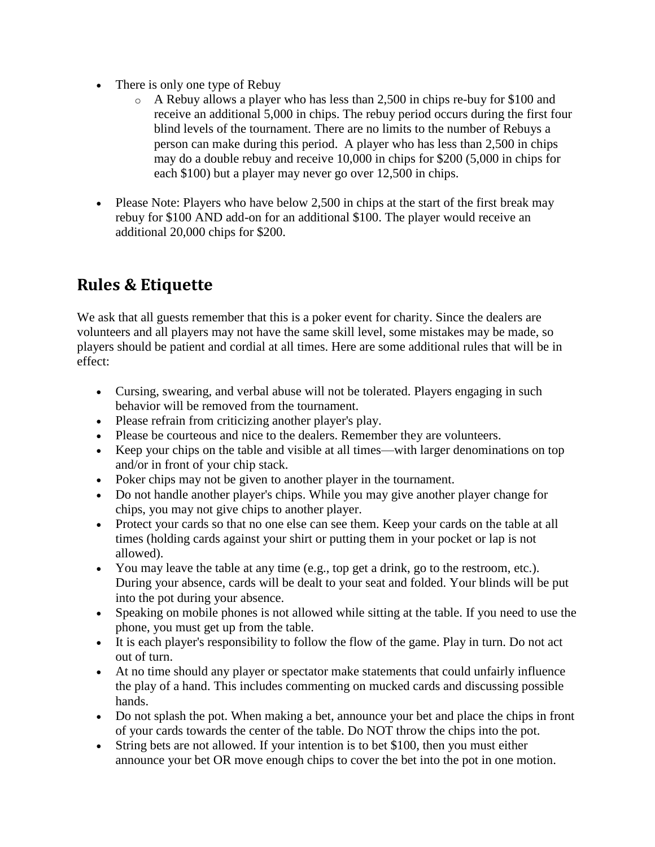- There is only one type of Rebuy
	- o A Rebuy allows a player who has less than 2,500 in chips re-buy for \$100 and receive an additional 5,000 in chips. The rebuy period occurs during the first four blind levels of the tournament. There are no limits to the number of Rebuys a person can make during this period. A player who has less than 2,500 in chips may do a double rebuy and receive 10,000 in chips for \$200 (5,000 in chips for each \$100) but a player may never go over 12,500 in chips.
- Please Note: Players who have below 2,500 in chips at the start of the first break may rebuy for \$100 AND add-on for an additional \$100. The player would receive an additional 20,000 chips for \$200.

# **Rules & Etiquette**

We ask that all guests remember that this is a poker event for charity. Since the dealers are volunteers and all players may not have the same skill level, some mistakes may be made, so players should be patient and cordial at all times. Here are some additional rules that will be in effect:

- Cursing, swearing, and verbal abuse will not be tolerated. Players engaging in such behavior will be removed from the tournament.
- Please refrain from criticizing another player's play.
- Please be courteous and nice to the dealers. Remember they are volunteers.
- Keep your chips on the table and visible at all times—with larger denominations on top and/or in front of your chip stack.
- Poker chips may not be given to another player in the tournament.
- Do not handle another player's chips. While you may give another player change for chips, you may not give chips to another player.
- Protect your cards so that no one else can see them. Keep your cards on the table at all times (holding cards against your shirt or putting them in your pocket or lap is not allowed).
- You may leave the table at any time  $(e.g., top get a drink, go to the restroom, etc.).$ During your absence, cards will be dealt to your seat and folded. Your blinds will be put into the pot during your absence.
- Speaking on mobile phones is not allowed while sitting at the table. If you need to use the phone, you must get up from the table.
- It is each player's responsibility to follow the flow of the game. Play in turn. Do not act out of turn.
- At no time should any player or spectator make statements that could unfairly influence the play of a hand. This includes commenting on mucked cards and discussing possible hands.
- Do not splash the pot. When making a bet, announce your bet and place the chips in front of your cards towards the center of the table. Do NOT throw the chips into the pot.
- String bets are not allowed. If your intention is to bet \$100, then you must either announce your bet OR move enough chips to cover the bet into the pot in one motion.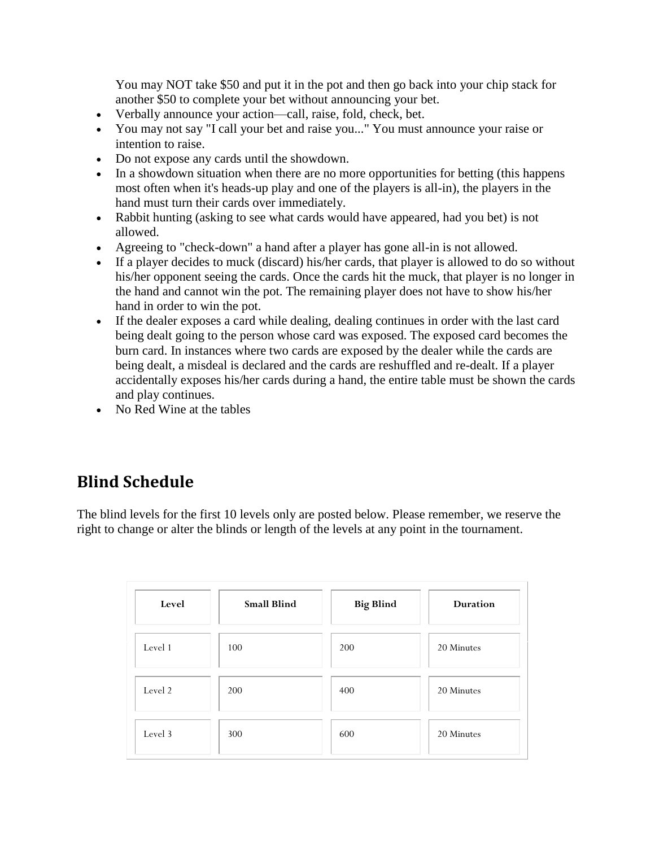You may NOT take \$50 and put it in the pot and then go back into your chip stack for another \$50 to complete your bet without announcing your bet.

- Verbally announce your action—call, raise, fold, check, bet.
- You may not say "I call your bet and raise you..." You must announce your raise or intention to raise.
- Do not expose any cards until the showdown.
- In a showdown situation when there are no more opportunities for betting (this happens most often when it's heads-up play and one of the players is all-in), the players in the hand must turn their cards over immediately.
- Rabbit hunting (asking to see what cards would have appeared, had you bet) is not allowed.
- Agreeing to "check-down" a hand after a player has gone all-in is not allowed.
- If a player decides to muck (discard) his/her cards, that player is allowed to do so without his/her opponent seeing the cards. Once the cards hit the muck, that player is no longer in the hand and cannot win the pot. The remaining player does not have to show his/her hand in order to win the pot.
- If the dealer exposes a card while dealing, dealing continues in order with the last card being dealt going to the person whose card was exposed. The exposed card becomes the burn card. In instances where two cards are exposed by the dealer while the cards are being dealt, a misdeal is declared and the cards are reshuffled and re-dealt. If a player accidentally exposes his/her cards during a hand, the entire table must be shown the cards and play continues.
- No Red Wine at the tables

### **Blind Schedule**

The blind levels for the first 10 levels only are posted below. Please remember, we reserve the right to change or alter the blinds or length of the levels at any point in the tournament.

| Level   | <b>Small Blind</b> | <b>Big Blind</b> | <b>Duration</b> |
|---------|--------------------|------------------|-----------------|
| Level 1 | 100                | 200              | 20 Minutes      |
| Level 2 | 200                | 400              | 20 Minutes      |
| Level 3 | 300                | 600              | 20 Minutes      |